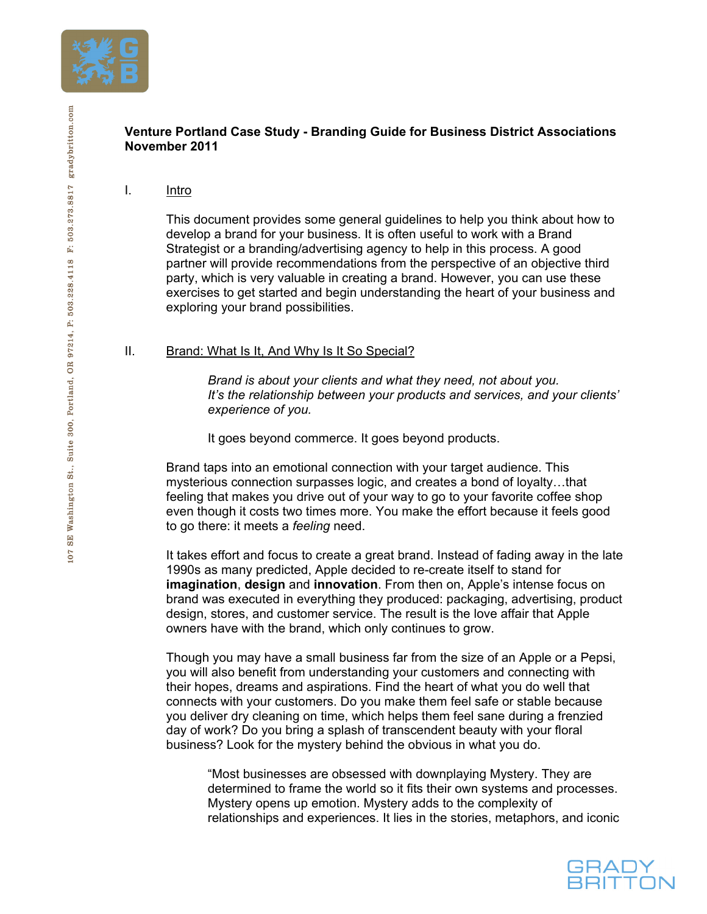

# **Venture Portland Case Study - Branding Guide for Business District Associations November 2011**

I. Intro

This document provides some general guidelines to help you think about how to develop a brand for your business. It is often useful to work with a Brand Strategist or a branding/advertising agency to help in this process. A good partner will provide recommendations from the perspective of an objective third party, which is very valuable in creating a brand. However, you can use these exercises to get started and begin understanding the heart of your business and exploring your brand possibilities.

## II. Brand: What Is It, And Why Is It So Special?

*Brand is about your clients and what they need, not about you. It's the relationship between your products and services, and your clients' experience of you.* 

It goes beyond commerce. It goes beyond products.

Brand taps into an emotional connection with your target audience. This mysterious connection surpasses logic, and creates a bond of loyalty…that feeling that makes you drive out of your way to go to your favorite coffee shop even though it costs two times more. You make the effort because it feels good to go there: it meets a *feeling* need.

It takes effort and focus to create a great brand. Instead of fading away in the late 1990s as many predicted, Apple decided to re-create itself to stand for **imagination**, **design** and **innovation**. From then on, Apple's intense focus on brand was executed in everything they produced: packaging, advertising, product design, stores, and customer service. The result is the love affair that Apple owners have with the brand, which only continues to grow.

Though you may have a small business far from the size of an Apple or a Pepsi, you will also benefit from understanding your customers and connecting with their hopes, dreams and aspirations. Find the heart of what you do well that connects with your customers. Do you make them feel safe or stable because you deliver dry cleaning on time, which helps them feel sane during a frenzied day of work? Do you bring a splash of transcendent beauty with your floral business? Look for the mystery behind the obvious in what you do.

"Most businesses are obsessed with downplaying Mystery. They are determined to frame the world so it fits their own systems and processes. Mystery opens up emotion. Mystery adds to the complexity of relationships and experiences. It lies in the stories, metaphors, and iconic

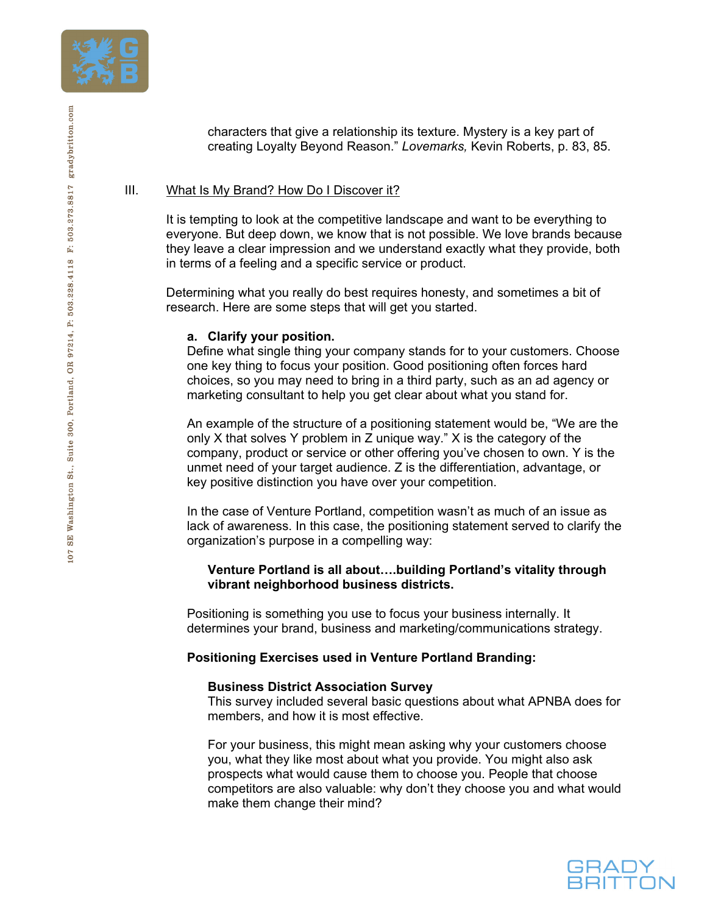

characters that give a relationship its texture. Mystery is a key part of creating Loyalty Beyond Reason." *Lovemarks,* Kevin Roberts, p. 83, 85.

# III. What Is My Brand? How Do I Discover it?

It is tempting to look at the competitive landscape and want to be everything to everyone. But deep down, we know that is not possible. We love brands because they leave a clear impression and we understand exactly what they provide, both in terms of a feeling and a specific service or product.

Determining what you really do best requires honesty, and sometimes a bit of research. Here are some steps that will get you started.

### **a. Clarify your position.**

Define what single thing your company stands for to your customers. Choose one key thing to focus your position. Good positioning often forces hard choices, so you may need to bring in a third party, such as an ad agency or marketing consultant to help you get clear about what you stand for.

An example of the structure of a positioning statement would be, "We are the only X that solves Y problem in Z unique way." X is the category of the company, product or service or other offering you've chosen to own. Y is the unmet need of your target audience. Z is the differentiation, advantage, or key positive distinction you have over your competition.

In the case of Venture Portland, competition wasn't as much of an issue as lack of awareness. In this case, the positioning statement served to clarify the organization's purpose in a compelling way:

### **Venture Portland is all about….building Portland's vitality through vibrant neighborhood business districts.**

Positioning is something you use to focus your business internally. It determines your brand, business and marketing/communications strategy.

## **Positioning Exercises used in Venture Portland Branding:**

### **Business District Association Survey**

This survey included several basic questions about what APNBA does for members, and how it is most effective.

For your business, this might mean asking why your customers choose you, what they like most about what you provide. You might also ask prospects what would cause them to choose you. People that choose competitors are also valuable: why don't they choose you and what would make them change their mind?

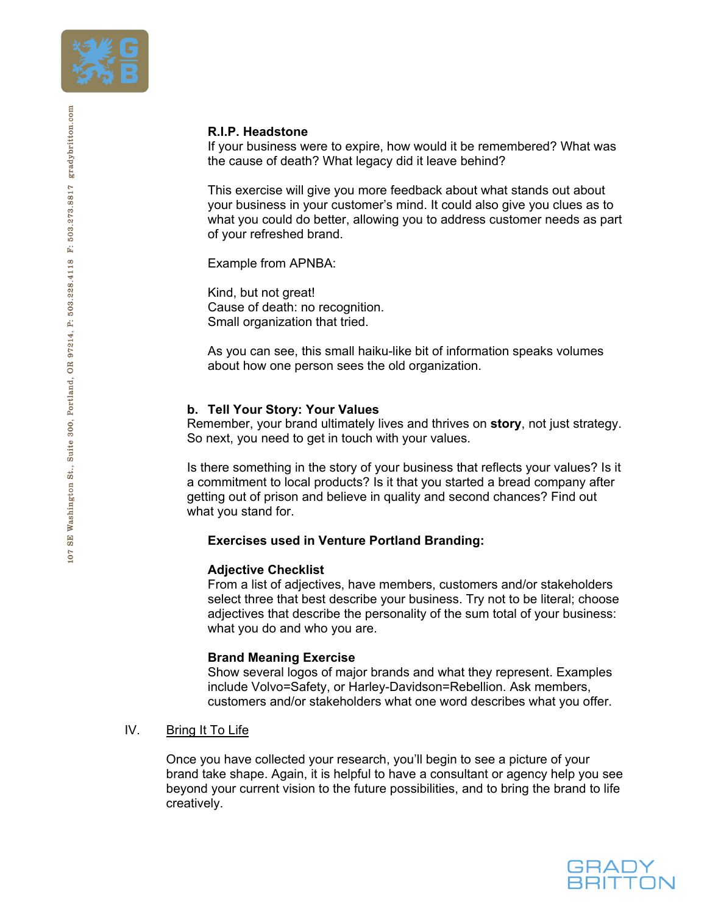

## **R.I.P. Headstone**

If your business were to expire, how would it be remembered? What was the cause of death? What legacy did it leave behind?

This exercise will give you more feedback about what stands out about your business in your customer's mind. It could also give you clues as to what you could do better, allowing you to address customer needs as part of your refreshed brand.

Example from APNBA:

Kind, but not great! Cause of death: no recognition. Small organization that tried.

As you can see, this small haiku-like bit of information speaks volumes about how one person sees the old organization.

### **b. Tell Your Story: Your Values**

Remember, your brand ultimately lives and thrives on **story**, not just strategy. So next, you need to get in touch with your values.

Is there something in the story of your business that reflects your values? Is it a commitment to local products? Is it that you started a bread company after getting out of prison and believe in quality and second chances? Find out what you stand for.

#### **Exercises used in Venture Portland Branding:**

#### **Adjective Checklist**

From a list of adjectives, have members, customers and/or stakeholders select three that best describe your business. Try not to be literal; choose adjectives that describe the personality of the sum total of your business: what you do and who you are.

#### **Brand Meaning Exercise**

Show several logos of major brands and what they represent. Examples include Volvo=Safety, or Harley-Davidson=Rebellion. Ask members, customers and/or stakeholders what one word describes what you offer.

IV. Bring It To Life

Once you have collected your research, you'll begin to see a picture of your brand take shape. Again, it is helpful to have a consultant or agency help you see beyond your current vision to the future possibilities, and to bring the brand to life creatively.